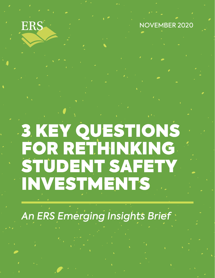# ERS

NOVEMBER 2020

# 3 KEY QUESTIONS FOR RETHINKING STUDENT SAFETY INVESTMENTS

An ERS Emerging Insights Brief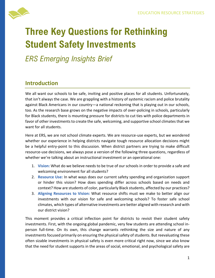

# **Three Key Questions for Rethinking Student Safety Investments**

*ERS Emerging Insights Brief*

# **Introduction**

We all want our schools to be safe, inviting and positive places for all students. Unfortunately, that isn't always the case. We are grappling with a history of systemic racism and police brutality against Black Americans in our country—a national reckoning that is playing out in our schools, too. As the research base grows on the negative impacts of over-policing in schools, particularly for Black students, there is mounting pressure for districts to cut ties with police departments in favor of other investments to create the safe, welcoming, and supportive school climates that we want for all students.

Here at ERS, we are not school climate experts. We are resource-use experts, but we wondered whether our experience in helping districts navigate tough resource allocation decisions might be a helpful entry-point to this discussion. When district partners are trying to make difficult resource-use decisions, we always pose a version of the following three questions, regardless of whether we're talking about an instructional investment or an operational one:

- 1. **Vision:** What do we believe needs to be true of our schools in order to provide a safe and welcoming environment for all students?
- 2. **Resource Use:** In what ways does our current safety spending and organization support or hinder this vision? How does spending differ across schools based on needs and context? How are students of color, particularly Black students, affected by our practices?
- 3. **Aligning Resources to Vision:** What resource shifts must we make to better align our investments with our vision for safe and welcoming schools? To foster safe school climates, which types of alternative investments are better aligned with research and with our district vision?

This moment provides a critical inflection point for districts to revisit their student safety investments. First, with the ongoing global pandemic, very few students are attending school inperson full-time. On its own, this change warrants rethinking the size and nature of any investments focused primarily on ensuring the physical safety of students. But reevaluating these often sizable investments in physical safety is even more critical right now, since we also know that the need for student supports in the areas of social, emotional, and psychological safety are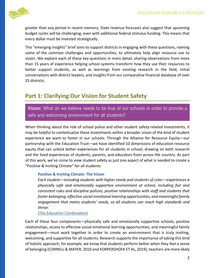

greater than any period in recent memory. State revenue forecasts also suggest that upcoming budget cycles will be challenging, even with additional federal stimulus funding. This means that every dollar must be invested strategically.

This "emerging insights" brief aims to support districts in engaging with these questions, naming some of the common challenges and opportunities, to ultimately help align resource use to vision. We explore each of these key questions in more detail, sharing observations from more than 15 years of experience helping school systems transform how they use their resources to better support students, as well as learnings from existing research in the field, initial conversations with district leaders, and insights from our comparative financial database of over 25 districts.

#### **Part 1: Clarifying Our Vision for Student Safety**

**Vision:** What do we believe needs to be true of our schools in order to provide a safe and welcoming environment for all students?

When thinking about the role of school police and other student safety-related investments, it may be helpful to contextualize these investments within a broader vision of the kind of student experience we want to foster in our schools. Through the Alliance for Resource Equity—our partnership with the Education Trust—we have identified 10 dimensions of education resource equity that can unlock better experiences for all students in school, drawing on both research and the lived experiences of students, parents, and educators from across the country. As part of this work, we've come to view student safety as just one aspect of what is needed to create a "Positive & Inviting Climate" for all students:

#### **Positive & Inviting Climate: The Vision**

*Each student—including students with higher needs and students of color—experiences a physically safe and emotionally supportive environment at school, including fair and consistent rules and discipline policies, positive relationships with staff and students that foster belonging, effective social-emotional learning opportunities, and meaningful family engagement that meets students' needs, so all students can reach high standards and thrive.*

#### [\(The Education Combination\)](https://www.educationresourceequity.org/toolkit/education-combination)

Each of these four components—physically safe and emotionally supportive schools, positive relationships, access to effective social-emotional learning opportunities, and meaningful family engagement—must work together in order to create an environment that is truly inviting, welcoming, and supportive for all students. Research supports the importance of taking this kind of holistic approach; for example, we know that students perform better when they feel a sense of belonging (CORNELL & MAYER, 2010 and KORPERSHOEK ET AL, 2019); teachers are more likely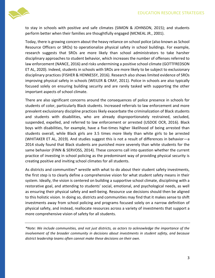

to stay in schools with positive and safe climates (SIMON & JOHNSON, 2015); and students perform better when their families are thoughtfully engaged (MCNEAL JR., 2001).

Today, there is growing concern about the heavy reliance on school police (also known as School Resource Officers or SROs) to operationalize physical safety in school buildings. For example, research suggests that SROs are more likely than school administrators to take harsher disciplinary approaches to student behavior, which increases the number of offenses referred to law enforcement (NANCE, 2016) and risks undermining a positive school climate (GOTTFREDSON ET AL, 2020). Indeed, students in schools with SROs are more likely to be subject to exclusionary disciplinary practices (FISHER & HENNESSY, 2016). Research also shows limited evidence of SROs improving physical safety in schools (WEILER & CRAY, 2011). Police in schools are also typically focused solely on ensuring building security and are rarely tasked with supporting the other important aspects of school climate.

There are also significant concerns around the consequences of police presence in schools for students of color, particularly Black students. Increased referrals to law enforcement and more prevalent exclusionary discipline practices likely exacerbate the criminalization of Black students and students with disabilities, who are already disproportionately restrained, secluded, suspended, expelled, and referred to law enforcement or arrested (USDOE OCR, 2016). Black boys with disabilities, for example, have a five-times higher likelihood of being arrested than students overall, while Black girls are 3.5 times more likely than white girls to be arrested (WHITAKER ET AL, 2019). And studies suggest this is not a result of differences in behavior—a 2014 study found that Black students are punished more severely than white students for the same behavior (FINN & SERVOSS, 2014). These concerns call into question whether the current practice of investing in school policing as the predominant way of providing physical security is creating positive and inviting school climates for all students.

As districts and communities\* wrestle with what to do about their student safety investments, the first step is to clearly define a comprehensive vision for what student safety means in their system. Ideally, the vision is centered on building a supportive school climate, disciplining with a restorative goal, and attending to students' social, emotional, and psychological needs, as well as ensuring their physical safety and well-being. Resource use decisions should then be aligned to this holistic vision. In doing so, districts and communities may find that it makes sense to shift investments away from school policing and programs focused solely on a narrow definition of physical safety, and instead, reallocate resources across a variety of investments that support a more comprehensive vision of safety for all students.

*\*Note: We include communities, and not just districts, as actors to acknowledge the importance of the involvement of the broader community in decisions about investments in student safety, and because district leadership teams often cannot make these decisions on their own.*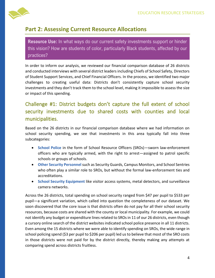

## **Part 2: Assessing Current Resource Allocations**

**Resource Use:** In what ways do our current safety investments support or hinder this vision? How are students of color, particularly Black students, affected by our practices?

In order to inform our analysis, we reviewed our financial comparison database of 26 districts and conducted interviews with several district leaders including Chiefs of School Safety, Directors of Student Support Services, and Chief Financial Officers. In the process, we identified two major challenges to creating useful data: Districts don't consistently capture school security investments and they don't track them to the school level, making it impossible to assess the size or impact of this spending.

# Challenge #1: District budgets don't capture the full extent of school security investments due to shared costs with counties and local municipalities.

Based on the 26 districts in our financial comparison database where we had information on school security spending, we see that investments in this area typically fall into three subcategories:

- **School Police** in the form of School Resource Officers (SROs)—sworn law-enforcement officers who are typically armed, with the right to arrest—assigned to patrol specific schools or groups of schools.
- **Other Security Personnel** such as Security Guards, Campus Monitors, and School Sentries who often play a similar role to SROs, but without the formal law-enforcement ties and accreditations.
- **School Security Equipment** like visitor access systems, metal detectors, and surveillance camera networks.

Across the 26 districts, total spending on school security ranged from \$47 per pupil to \$533 per pupil—a significant variation, which called into question the completeness of our dataset. We soon discovered that the core issue is that districts often do not pay for all their school security resources, because costs are shared with the county or local municipality. For example, we could not identify any budget or expenditure lines related to SROs in 11 of our 26 districts, even though a cursory online search of the district websites indicated school police presence in all 11 districts. Even among the 15 districts where we were able to identify spending on SROs, the wide range in school policing spend (\$3 per pupil to \$206 per pupil) led us to believe that most of the SRO costs in those districts were not paid for by the district directly, thereby making any attempts at comparing spend across districts fruitless.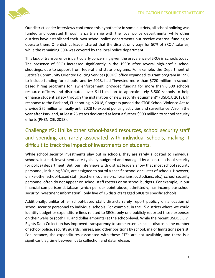

Our district leader interviews confirmed this hypothesis: In some districts, all school policing was funded and operated through a partnership with the local police departments, while other districts have established their own school police departments but receive external funding to operate them. One district leader shared that the district only pays for 50% of SROs' salaries, while the remaining 50% was covered by the local police department.

This lack of transparency is particularly concerning given the prevalence of SROs in schools today. The presence of SROs increased significantly in the 1990s after several high-profile school shootings, due to support from federal and state programs. For example, the Department of Justice's Community Oriented Policing Services (COPS) office expanded its grant program in 1998 to include funding for schools, and by 2013, had "invested more than \$720 million in schoolbased hiring programs for law enforcement, provided funding for more than 6,300 schools resource officers and distributed over \$111 million to approximately 5,500 schools to help enhance student safety through the installation of new security equipment" (USDOJ, 2013). In response to the Parkland, FL shooting in 2018, Congress passed the STOP School Violence Act to provide \$75 million annually until 2028 to expand policing activities and surveillance. Also in the year after Parkland, at least 26 states dedicated at least a further \$900 million to school security efforts (PHENICIE, 2018).

## Challenge #2: Unlike other school-based resources, school security staff and spending are rarely associated with individual schools, making it difficult to track the impact of investments on students.

While school security investments play out in schools, they are rarely allocated to individual schools. Instead, investments are typically budgeted and managed by a central school security (or police) department. But, our interviews with district leaders show that most school security personnel, including SROs, are assigned to patrol a specific school or cluster of schools. However, unlike other school-based staff (teachers, counselors, librarians, custodians, etc.), school security personnel often do not appear on school staff rosters or on school budgets. For example, in our financial comparison database (which per our point above, admittedly, has incomplete school security investment information), only five of 15 districts tagged SROs to specific schools.

Additionally, unlike other school-based staff, districts rarely report publicly on allocation of school security personnel to individual schools. For example, in the 15 districts where we could identify budget or expenditure lines related to SROs, only one publicly reported those expenses on their website (both FTE and dollar amounts) at the school-level. While the recent USDOE Civil Rights Data Collection has improved transparency to some extent, since it discloses the number of school police, security guards, nurses, and other positions by school, major limitations persist. For instance, the expenditures associated with these FTEs are not available, and there is a significant lag time between data collection and data release.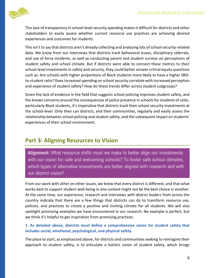

This lack of transparency in school-level security spending makes it difficult for districts and other stakeholders to easily assess whether current resource use practices are achieving desired experiences and outcomes for students.

This isn't to say that districts aren't already collecting and analyzing lots of school security-related data. We know from our interviews that districts track behavioral issues, disciplinary referrals, and use of force incidents, as well as conducting parent and student surveys on perceptions of student safety and school climate. But if districts were able to connect these metrics to their school-level investments in safety and security, they could better answer critical equity questions such as: Are schools with higher proportions of Black students more likely to have a higher SROto-student ratio? Does increased spending on school security correlate with increased perception and experience of student safety? How do these trends differ across student subgroups?

Given the lack of evidence in the field that suggests school policing improves student safety, and the known concerns around the consequences of police presence in schools for students of color, particularly Black students, it's imperative that districts track their school security investments at the school-level. Only then can districts, and their communities, regularly and easily assess the relationship between school policing and student safety, and the subsequent impact on students' experiences of their school environment.

#### **Part 3: Aligning Resources to Vision**

**Alignment:** What resource shifts must we make to better align our investments with our vision for safe and welcoming schools? To foster safe school climates, which types of alternative investments are better aligned with research and with our district vision?

From our work with other on other issues, we know that every district is different, and that what works best to support student well-being in one context might not be the best choice in another. At the same time, our experience, research and interviews with district leaders from across the country indicate that there are a few things that districts can do to transform resource use, policies, and practices to create a positive and inviting climate for all students. We will also spotlight promising examples we have encountered in our research. No example is perfect, but we think it's helpful to get inspiration from promising practices.

**1. As detailed above, districts must define a comprehensive vision for student safety that includes social, emotional, psychological, and physical safety.**

The place to start, as emphasized above, for districts and communities seeking to reimagine their approach to student safety, is to articulate a holistic vision of student safety, which brings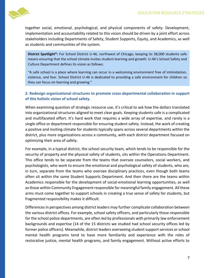

together social, emotional, psychological, and physical components of safety. Development, implementation and accountability related to this vision should be driven by a joint effort across stakeholders including Departments of Safety, Student Supports, Equity, and Academics, as well as students and communities of the system.

**District Spotlight\*:** For School District U-46, northwest of Chicago, keeping its 38,000 students safe means ensuring that the school climate invites student learning and growth. U-46's School Safety and Culture Department defines its vision as follows:

"A safe school is a place where learning can occur in a welcoming environment free of intimidation, violence, and fear. School District U-46 is dedicated to providing a safe environment for children so they can focus on learning and growing."

#### **2. Redesign organizational structures to promote cross-departmental collaboration in support of this holistic vision of school safety.**

When examining question of strategic resource use, it's critical to ask how the dollars translated into organizational structures aligned to meet clear goals. Keeping students safe is a complicated and multifaceted effort. It's hard work that requires a wide array of expertise, and rarely is a single office or department responsible for ensuring student safety. Instead, the work of creating a positive and inviting climate for students typically spans across several departments within the district, plus more organizations across a community, with each district department focused on optimizing their area of safety.

For example, in a typical district, the school security team, which tends to be responsible for the security of property and the physical safety of students, sits within the Operations Department. This office tends to be separate from the teams that oversee counselors, social workers, and psychologists, who work to ensure the emotional and psychological safety of students, who are, in turn, separate from the teams who oversee disciplinary practices, even though both teams often sit within the same Student Supports Department. And then there are the teams within Academics responsible for the development of social-emotional learning opportunities, as well as those within Community Engagement responsible for meaningful family engagement. All these arms must come together to support schools in creating a true sense of safety for students, but fragmented responsibility makes it difficult.

Differences in perspectives among district leaders may further complicate collaboration between the various district offices. For example, school safety officers, and particularly those responsible for the school police departments, are often led by professionals with primarily law enforcement backgrounds and expertise (14 of the 15 districts we studied had school security offices led by former police officers). Meanwhile, district leaders overseeing student support services or school mental health programs tend to have more familiarity and experience with the roles of restorative justice, mental health programs, and family engagement. Without active efforts to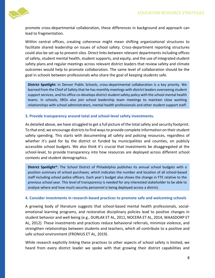

promote cross-departmental collaboration, these differences in background and approach can lead to fragmentation.

Within central offices, creating coherence might mean shifting organizational structures to facilitate shared leadership on issues of school safety. Cross-department reporting structures could also be set up to prevent silos. Direct links between relevant departments including offices of safety, student mental health, student supports, and equity, and the use of integrated student safety plans and regular meetings across relevant district leaders that review safety and climate outcomes would help to promote collaboration. The same level of collaboration should be the goal in schools between professionals who share the goal of keeping students safe.

**District Spotlight:** In Denver Public Schools, cross-departmental collaboration is a key priority. We learned from the Chief of Safety that he has monthly meetings with district leaders overseeing student support services, and his office co-develops district student safety policy with the school mental health teams. In schools, SROs also join school leadership team meetings to maintain close working relationships with school administrators, mental health professionals and other student support staff.

#### **3. Provide transparency around total and school-level safety investments.**

As detailed above, we have struggled to get a full picture of the total safety and security footprint. To that end, we encourage districts to find ways to provide complete information on their student safety spending. This starts with documenting all safety and policing resources, regardless of whether it's paid for by the district or funded by municipalities and counties, on publicly accessible school budgets. We also think it's crucial that investments be disaggregated at the school-level, to provide transparency into how resources are deployed across different school contexts and student demographics.

**District Spotlight\*:** The School District of Philadelphia publishes its annual school budgets with a position summary of school purchases, which indicates the number and location of all school-based staff including school police officers. Each year's budget also shows the change in FTE relative to the previous school year. This level of transparency is needed for any interested stakeholder to be able to analyze where and how much security personnel is being deployed across a district.

#### **4. Consider investments in research-based practices to promote safe and welcoming schools**

A growing body of literature suggests that school-based mental health professionals, socialemotional learning programs, and restorative disciplinary policies lead to positive changes in student behavior and well-being (e.g., DURLAK ET AL, 2011, NOCERA ET AL, 2014, WAASDORP ET AL, 2012). These investments and practices reduce behavioral referrals, minimize violence, and strengthen relationships between students and teachers, which all contribute to a positive and safe school environment (FRONIUS ET AL, 2019).

While research explicitly linking these practices to other aspects of school safety is limited, we heard from every district leader we spoke with that growing their district capabilities and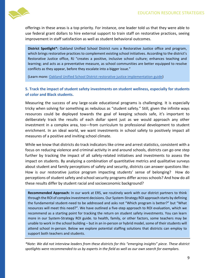

offerings in these areas is a top priority. For instance, one leader told us that they were able to use federal grant dollars to hire external support to train staff on restorative practices, seeing improvement in staff satisfaction as well as student behavioral outcomes.

**District Spotlight\*:** Oakland Unified School District runs a Restorative Justice office and program, which brings restorative practices to complement existing school initiatives. According to the district's Restorative Justice office, RJ "creates a positive, inclusive school culture; enhances teaching and learning; and acts as a preventative measure, as school communities are better equipped to resolve conflicts as they appear, before they escalate into a bigger issue."

(Learn more[: Oakland Unified School District restorative justice implementation guide\)](https://www.ousd.org/Page/1054)

#### **5. Track the impact of student safety investments on student wellness, especially for students of color and Black students.**

Measuring the success of any large-scale educational programs is challenging. It is especially tricky when solving for something as nebulous as "student safety." Still, given the infinite ways resources could be deployed towards the goal of keeping schools safe, it's important to deliberately track the results of each dollar spent just as we would approach any other investment in a complex area, too—from curriculum to professional development to student enrichment. In an ideal world, we want investments in school safety to positively impact all measures of a positive and inviting school climate.

While we know that districts do track indicators like crime and arrest statistics, consistent with a focus on reducing violence and criminal activity in and around schools, districts can go one step further by tracking the impact of all safety-related initiatives and investments to assess the impact on students. By analyzing a combination of quantitative metrics and qualitative surveys about student and family perceptions of safety and security, districts can answer questions like: How is our restorative justice program impacting students' sense of belonging? How do perceptions of student safety and school security programs differ across schools? And how do all these results differ by student racial and socioeconomic background?

**Recommended Approach:** In our work at ERS, we routinely work with our district partners to think through the ROI of complex investment decisions. Our System-Strategy ROI approach starts by defining the fundamental student-need to be addressed and asks not "Which program is better?" but "What resources will meet this need?". We have outlined a five-step approach to ROI evaluation, which we recommend as a starting point for tracking the return on student safety investments. You can learn more in our System-Strategy ROI guide. to health, family, or other factors, some teachers may be unable to work in the school building – but in an in-person or hybrid model, some of their students will attend school in-person. Below we explore potential staffing solutions that districts can employ to support both teachers and students.

*\*Note: We did not interview leaders from these districts for this "emerging insights" piece. These district spotlights were recommended to us by experts in the field as well as our own search for exemplars.*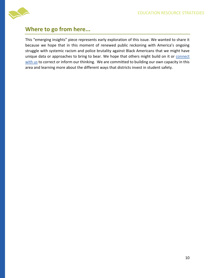

### **Where to go from here...**

This "emerging insights" piece represents early exploration of this issue. We wanted to share it because we hope that in this moment of renewed public reckoning with America's ongoing struggle with systemic racism and police brutality against Black Americans that we might have unique data or approaches to bring to bear. We hope that others might build on it or [connect](https://www.erstrategies.org/people/jonathan_travers/email/new)  [with us](https://www.erstrategies.org/people/jonathan_travers/email/new) to correct or inform our thinking. We are committed to building our own capacity in this area and learning more about the different ways that districts invest in student safety.